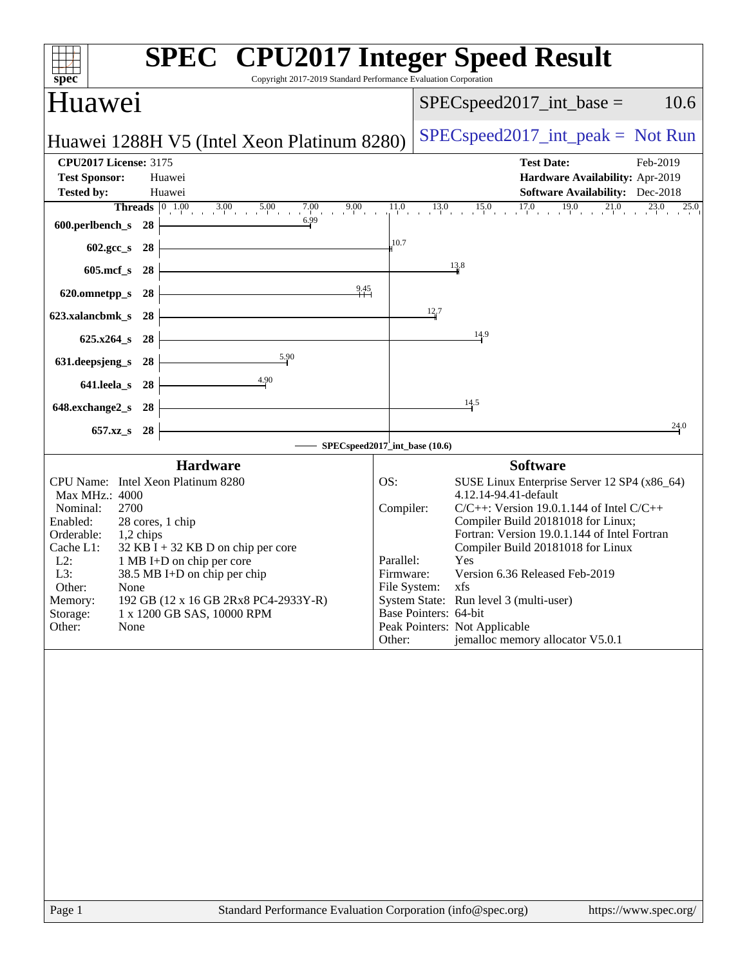| spec<br>Copyright 2017-2019 Standard Performance Evaluation Corporation                      | <b>SPEC<sup>®</sup></b> CPU2017 Integer Speed Result                                |
|----------------------------------------------------------------------------------------------|-------------------------------------------------------------------------------------|
| Huawei                                                                                       | 10.6<br>$SPEC speed2017\_int\_base =$                                               |
| Huawei 1288H V5 (Intel Xeon Platinum 8280)                                                   | $SPEC speed2017\_int\_peak = Not Run$                                               |
| <b>CPU2017 License: 3175</b>                                                                 | <b>Test Date:</b><br>Feb-2019                                                       |
| <b>Test Sponsor:</b><br>Huawei                                                               | Hardware Availability: Apr-2019                                                     |
| <b>Tested by:</b><br>Huawei                                                                  | <b>Software Availability:</b> Dec-2018                                              |
| <b>Threads</b> $\begin{bmatrix} 0 & 1.00 & 3.00 & 5.00 \end{bmatrix}$<br>7.00 9.00 1<br>6.99 | $17.0$ $19.0$ $21.0$ $23.0$ $25.0$<br>$13.0$ $15.0$<br>$\frac{11.0}{1}$             |
| 600.perlbench_s<br>28                                                                        |                                                                                     |
| 602.gcc_s<br>28                                                                              | 10.7                                                                                |
| $605$ .mcf $_s$<br>28                                                                        | 13.8                                                                                |
| 9.45<br>620.omnetpp_s<br>28                                                                  |                                                                                     |
| 623.xalancbmk_s<br>28                                                                        | $\frac{12}{4}7$                                                                     |
|                                                                                              | 14.9                                                                                |
| $625.x264_s$<br>28                                                                           |                                                                                     |
| 5.90<br>631.deepsjeng_s<br>28                                                                |                                                                                     |
| $\frac{4.90}{2}$<br>641.leela_s<br>28                                                        |                                                                                     |
| 648.exchange2_s<br>28                                                                        | 14.5                                                                                |
| 657.xz_s<br>28                                                                               | 24.0                                                                                |
|                                                                                              | SPECspeed2017_int_base (10.6)                                                       |
| <b>Hardware</b>                                                                              | <b>Software</b>                                                                     |
| CPU Name: Intel Xeon Platinum 8280                                                           | OS:<br>SUSE Linux Enterprise Server 12 SP4 (x86_64)                                 |
| Max MHz.: 4000<br>Nominal:<br>2700                                                           | 4.12.14-94.41-default<br>Compiler:<br>$C/C++$ : Version 19.0.1.144 of Intel $C/C++$ |
| Enabled:<br>28 cores, 1 chip                                                                 | Compiler Build 20181018 for Linux;                                                  |
| Orderable:<br>1,2 chips<br>$32$ KB I + 32 KB D on chip per core<br>Cache L1:                 | Fortran: Version 19.0.1.144 of Intel Fortran<br>Compiler Build 20181018 for Linux   |
| $L2$ :<br>1 MB I+D on chip per core                                                          | Parallel:<br><b>Yes</b>                                                             |
| 38.5 MB I+D on chip per chip<br>L3:<br>Other:                                                | Version 6.36 Released Feb-2019<br>Firmware:<br>File System: xfs                     |
| None<br>192 GB (12 x 16 GB 2Rx8 PC4-2933Y-R)<br>Memory:                                      | System State: Run level 3 (multi-user)                                              |
| 1 x 1200 GB SAS, 10000 RPM<br>Storage:                                                       | Base Pointers: 64-bit                                                               |
| Other:<br>None                                                                               | Peak Pointers: Not Applicable<br>jemalloc memory allocator V5.0.1<br>Other:         |
|                                                                                              |                                                                                     |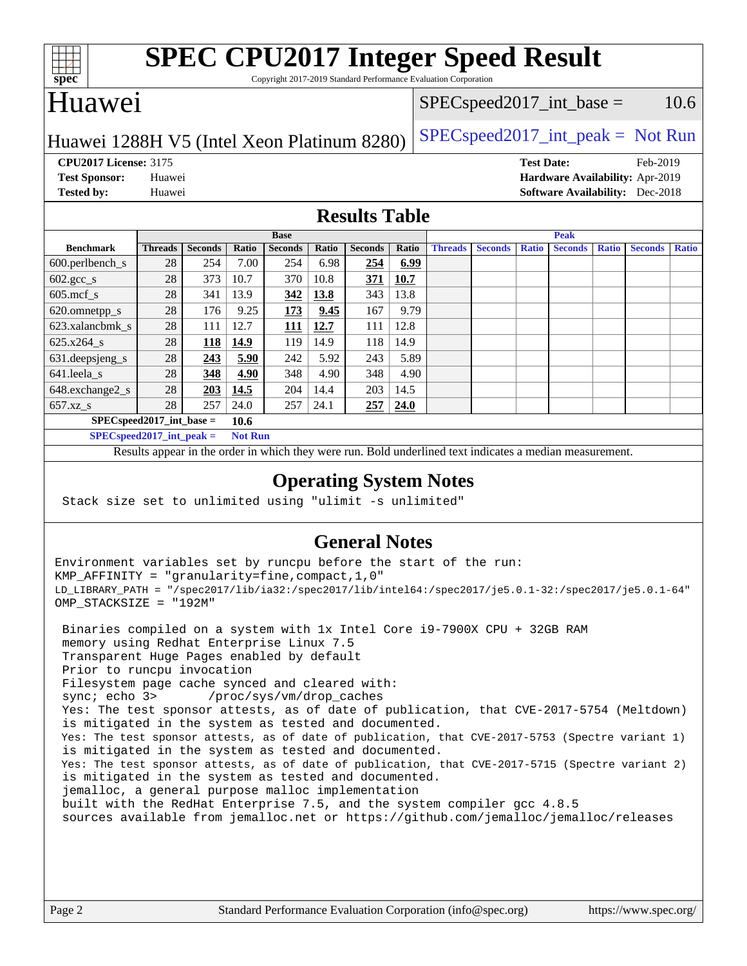

# **[SPEC CPU2017 Integer Speed Result](http://www.spec.org/auto/cpu2017/Docs/result-fields.html#SPECCPU2017IntegerSpeedResult)**

Copyright 2017-2019 Standard Performance Evaluation Corporation

### Huawei

#### $SPEC speed2017\_int\_base = 10.6$

### Huawei 1288H V5 (Intel Xeon Platinum 8280) [SPECspeed2017\\_int\\_peak =](http://www.spec.org/auto/cpu2017/Docs/result-fields.html#SPECspeed2017intpeak) Not Run

**[CPU2017 License:](http://www.spec.org/auto/cpu2017/Docs/result-fields.html#CPU2017License)** 3175 **[Test Date:](http://www.spec.org/auto/cpu2017/Docs/result-fields.html#TestDate)** Feb-2019

**[Test Sponsor:](http://www.spec.org/auto/cpu2017/Docs/result-fields.html#TestSponsor)** Huawei **[Hardware Availability:](http://www.spec.org/auto/cpu2017/Docs/result-fields.html#HardwareAvailability)** Apr-2019 **[Tested by:](http://www.spec.org/auto/cpu2017/Docs/result-fields.html#Testedby)** Huawei **[Software Availability:](http://www.spec.org/auto/cpu2017/Docs/result-fields.html#SoftwareAvailability)** Dec-2018

#### **[Results Table](http://www.spec.org/auto/cpu2017/Docs/result-fields.html#ResultsTable)**

|                             | <b>Base</b>    |                |       |                |       | <b>Peak</b>    |       |                |                |              |                |              |                |              |
|-----------------------------|----------------|----------------|-------|----------------|-------|----------------|-------|----------------|----------------|--------------|----------------|--------------|----------------|--------------|
| <b>Benchmark</b>            | <b>Threads</b> | <b>Seconds</b> | Ratio | <b>Seconds</b> | Ratio | <b>Seconds</b> | Ratio | <b>Threads</b> | <b>Seconds</b> | <b>Ratio</b> | <b>Seconds</b> | <b>Ratio</b> | <b>Seconds</b> | <b>Ratio</b> |
| $600.$ perlbench_s          | 28             | 254            | 7.00  | 254            | 6.98  | 254            | 6.99  |                |                |              |                |              |                |              |
| $602.\text{gcc}\_\text{s}$  | 28             | 373            | 10.7  | 370            | 10.8  | 371            | 10.7  |                |                |              |                |              |                |              |
| $605$ .mcf s                | 28             | 341            | 13.9  | 342            | 13.8  | 343            | 13.8  |                |                |              |                |              |                |              |
| 620.omnetpp_s               | 28             | 176            | 9.25  | <u>173</u>     | 9.45  | 167            | 9.79  |                |                |              |                |              |                |              |
| 623.xalancbmk s             | 28             | 111            | 12.7  | 111            | 12.7  | 111            | 12.8  |                |                |              |                |              |                |              |
| 625.x264 s                  | 28             | 118            | 14.9  | 119            | 14.9  | 118            | 14.9  |                |                |              |                |              |                |              |
| 631.deepsjeng_s             | 28             | 243            | 5.90  | 242            | 5.92  | 243            | 5.89  |                |                |              |                |              |                |              |
| $641.$ leela_s              | 28             | 348            | 4.90  | 348            | 4.90  | 348            | 4.90  |                |                |              |                |              |                |              |
| 648.exchange2_s             | 28             | 203            | 14.5  | 204            | 14.4  | 203            | 14.5  |                |                |              |                |              |                |              |
| $657.xz$ s                  | 28             | 257            | 24.0  | 257            | 24.1  | 257            | 24.0  |                |                |              |                |              |                |              |
| $SPEC speed2017$ int base = |                |                | 10.6  |                |       |                |       |                |                |              |                |              |                |              |

**[SPECspeed2017\\_int\\_peak =](http://www.spec.org/auto/cpu2017/Docs/result-fields.html#SPECspeed2017intpeak) Not Run**

Results appear in the [order in which they were run.](http://www.spec.org/auto/cpu2017/Docs/result-fields.html#RunOrder) Bold underlined text [indicates a median measurement.](http://www.spec.org/auto/cpu2017/Docs/result-fields.html#Median)

#### **[Operating System Notes](http://www.spec.org/auto/cpu2017/Docs/result-fields.html#OperatingSystemNotes)**

Stack size set to unlimited using "ulimit -s unlimited"

### **[General Notes](http://www.spec.org/auto/cpu2017/Docs/result-fields.html#GeneralNotes)**

Environment variables set by runcpu before the start of the run: KMP\_AFFINITY = "granularity=fine,compact,1,0" LD\_LIBRARY\_PATH = "/spec2017/lib/ia32:/spec2017/lib/intel64:/spec2017/je5.0.1-32:/spec2017/je5.0.1-64" OMP\_STACKSIZE = "192M"

 Binaries compiled on a system with 1x Intel Core i9-7900X CPU + 32GB RAM memory using Redhat Enterprise Linux 7.5 Transparent Huge Pages enabled by default Prior to runcpu invocation Filesystem page cache synced and cleared with: sync; echo 3> /proc/sys/vm/drop\_caches Yes: The test sponsor attests, as of date of publication, that CVE-2017-5754 (Meltdown) is mitigated in the system as tested and documented. Yes: The test sponsor attests, as of date of publication, that CVE-2017-5753 (Spectre variant 1) is mitigated in the system as tested and documented. Yes: The test sponsor attests, as of date of publication, that CVE-2017-5715 (Spectre variant 2) is mitigated in the system as tested and documented. jemalloc, a general purpose malloc implementation built with the RedHat Enterprise 7.5, and the system compiler gcc 4.8.5 sources available from jemalloc.net or <https://github.com/jemalloc/jemalloc/releases>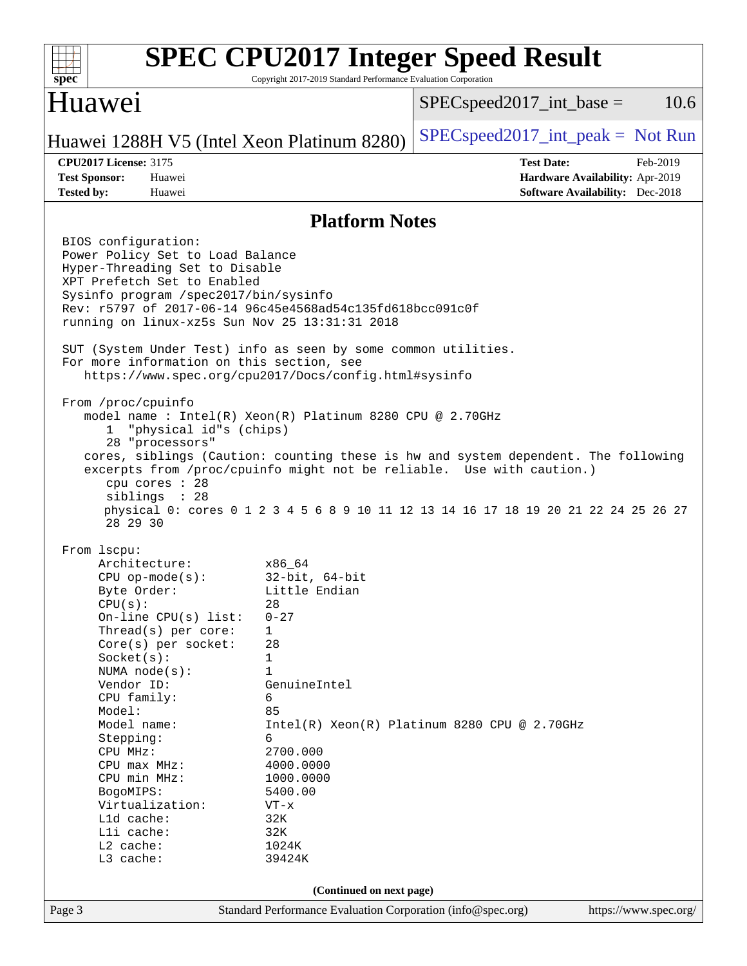| spec                                                                                                                                                                                                                                                                                                                                                                                                                                                                                                                                                                                                                                                                                                                      | Copyright 2017-2019 Standard Performance Evaluation Corporation | <b>SPEC CPU2017 Integer Speed Result</b>                                                                                                                                                                                                           |
|---------------------------------------------------------------------------------------------------------------------------------------------------------------------------------------------------------------------------------------------------------------------------------------------------------------------------------------------------------------------------------------------------------------------------------------------------------------------------------------------------------------------------------------------------------------------------------------------------------------------------------------------------------------------------------------------------------------------------|-----------------------------------------------------------------|----------------------------------------------------------------------------------------------------------------------------------------------------------------------------------------------------------------------------------------------------|
| Huawei                                                                                                                                                                                                                                                                                                                                                                                                                                                                                                                                                                                                                                                                                                                    |                                                                 | 10.6<br>$SPEC speed2017\_int\_base =$                                                                                                                                                                                                              |
| Huawei 1288H V5 (Intel Xeon Platinum 8280)                                                                                                                                                                                                                                                                                                                                                                                                                                                                                                                                                                                                                                                                                |                                                                 | $SPEC speed2017\_int\_peak = Not Run$                                                                                                                                                                                                              |
| <b>CPU2017 License: 3175</b><br><b>Test Sponsor:</b><br>Huawei                                                                                                                                                                                                                                                                                                                                                                                                                                                                                                                                                                                                                                                            |                                                                 | <b>Test Date:</b><br>Feb-2019<br>Hardware Availability: Apr-2019                                                                                                                                                                                   |
| <b>Tested by:</b><br>Huawei                                                                                                                                                                                                                                                                                                                                                                                                                                                                                                                                                                                                                                                                                               |                                                                 | <b>Software Availability:</b> Dec-2018                                                                                                                                                                                                             |
|                                                                                                                                                                                                                                                                                                                                                                                                                                                                                                                                                                                                                                                                                                                           | <b>Platform Notes</b>                                           |                                                                                                                                                                                                                                                    |
| BIOS configuration:<br>Power Policy Set to Load Balance<br>Hyper-Threading Set to Disable<br>XPT Prefetch Set to Enabled<br>Sysinfo program /spec2017/bin/sysinfo<br>Rev: r5797 of 2017-06-14 96c45e4568ad54c135fd618bcc091c0f<br>running on linux-xz5s Sun Nov 25 13:31:31 2018<br>SUT (System Under Test) info as seen by some common utilities.<br>For more information on this section, see<br>https://www.spec.org/cpu2017/Docs/config.html#sysinfo<br>From /proc/cpuinfo<br>model name: $Intel(R)$ Xeon $(R)$ Platinum 8280 CPU @ 2.70GHz<br>"physical id"s (chips)<br>ı.<br>28 "processors"<br>cpu cores : 28<br>siblings : 28<br>28 29 30<br>From lscpu:<br>Architecture:<br>$CPU$ op-mode( $s$ ):<br>Byte Order: | x86_64<br>$32$ -bit, $64$ -bit<br>Little Endian                 | cores, siblings (Caution: counting these is hw and system dependent. The following<br>excerpts from /proc/cpuinfo might not be reliable. Use with caution.)<br>physical 0: cores 0 1 2 3 4 5 6 8 9 10 11 12 13 14 16 17 18 19 20 21 22 24 25 26 27 |
| CPU(s):<br>On-line $CPU(s)$ list:<br>Thread(s) per core:                                                                                                                                                                                                                                                                                                                                                                                                                                                                                                                                                                                                                                                                  | 28<br>$0 - 27$<br>$\mathbf 1$                                   |                                                                                                                                                                                                                                                    |
| Core(s) per socket:<br>Socket(s):                                                                                                                                                                                                                                                                                                                                                                                                                                                                                                                                                                                                                                                                                         | 28<br>1                                                         |                                                                                                                                                                                                                                                    |
| NUMA $node(s)$ :<br>Vendor ID:                                                                                                                                                                                                                                                                                                                                                                                                                                                                                                                                                                                                                                                                                            | $\mathbf{1}$<br>GenuineIntel                                    |                                                                                                                                                                                                                                                    |
| CPU family:<br>Model:                                                                                                                                                                                                                                                                                                                                                                                                                                                                                                                                                                                                                                                                                                     | 6<br>85                                                         |                                                                                                                                                                                                                                                    |
| Model name:                                                                                                                                                                                                                                                                                                                                                                                                                                                                                                                                                                                                                                                                                                               | 6                                                               | $Intel(R) Xeon(R) Platinum 8280 CPU @ 2.70GHz$                                                                                                                                                                                                     |
| Stepping:<br>CPU MHz:                                                                                                                                                                                                                                                                                                                                                                                                                                                                                                                                                                                                                                                                                                     | 2700.000                                                        |                                                                                                                                                                                                                                                    |
| CPU max MHz:                                                                                                                                                                                                                                                                                                                                                                                                                                                                                                                                                                                                                                                                                                              | 4000.0000                                                       |                                                                                                                                                                                                                                                    |
| CPU min MHz:<br>BogoMIPS:                                                                                                                                                                                                                                                                                                                                                                                                                                                                                                                                                                                                                                                                                                 | 1000.0000<br>5400.00                                            |                                                                                                                                                                                                                                                    |
| Virtualization:                                                                                                                                                                                                                                                                                                                                                                                                                                                                                                                                                                                                                                                                                                           | $VT - x$                                                        |                                                                                                                                                                                                                                                    |
| L1d cache:                                                                                                                                                                                                                                                                                                                                                                                                                                                                                                                                                                                                                                                                                                                | 32K                                                             |                                                                                                                                                                                                                                                    |
| Lli cache:<br>L2 cache:                                                                                                                                                                                                                                                                                                                                                                                                                                                                                                                                                                                                                                                                                                   | 32K<br>1024K                                                    |                                                                                                                                                                                                                                                    |
| L3 cache:                                                                                                                                                                                                                                                                                                                                                                                                                                                                                                                                                                                                                                                                                                                 | 39424K                                                          |                                                                                                                                                                                                                                                    |
|                                                                                                                                                                                                                                                                                                                                                                                                                                                                                                                                                                                                                                                                                                                           | (Continued on next page)                                        |                                                                                                                                                                                                                                                    |
| Page 3                                                                                                                                                                                                                                                                                                                                                                                                                                                                                                                                                                                                                                                                                                                    | Standard Performance Evaluation Corporation (info@spec.org)     | https://www.spec.org/                                                                                                                                                                                                                              |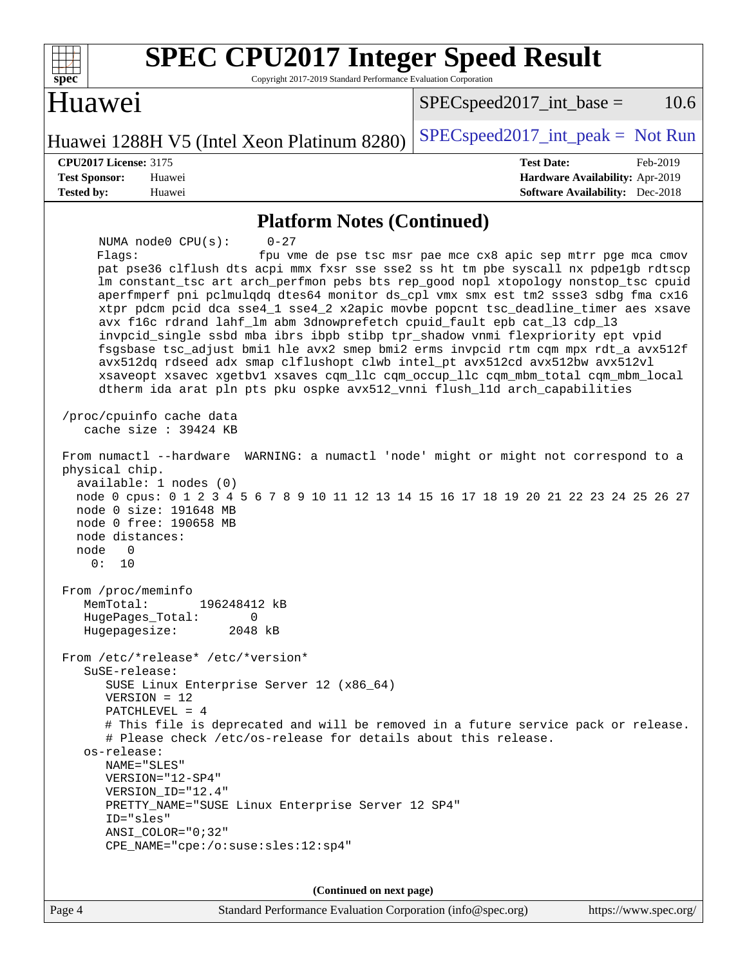| <b>SPEC CPU2017 Integer Speed Result</b><br>spec <sup>®</sup><br>Copyright 2017-2019 Standard Performance Evaluation Corporation                                                                                                                                                                                                                                                                                                                                                                                                                                                                                                                                                                                                                                                                                                                                                                     |                                                               |  |  |  |  |
|------------------------------------------------------------------------------------------------------------------------------------------------------------------------------------------------------------------------------------------------------------------------------------------------------------------------------------------------------------------------------------------------------------------------------------------------------------------------------------------------------------------------------------------------------------------------------------------------------------------------------------------------------------------------------------------------------------------------------------------------------------------------------------------------------------------------------------------------------------------------------------------------------|---------------------------------------------------------------|--|--|--|--|
| Huawei                                                                                                                                                                                                                                                                                                                                                                                                                                                                                                                                                                                                                                                                                                                                                                                                                                                                                               | 10.6<br>$SPEC speed2017\_int\_base =$                         |  |  |  |  |
| Huawei 1288H V5 (Intel Xeon Platinum 8280)                                                                                                                                                                                                                                                                                                                                                                                                                                                                                                                                                                                                                                                                                                                                                                                                                                                           | $SPEC speed2017\_int\_peak = Not Run$                         |  |  |  |  |
| <b>CPU2017 License: 3175</b>                                                                                                                                                                                                                                                                                                                                                                                                                                                                                                                                                                                                                                                                                                                                                                                                                                                                         | <b>Test Date:</b><br>Feb-2019                                 |  |  |  |  |
| <b>Test Sponsor:</b><br>Huawei                                                                                                                                                                                                                                                                                                                                                                                                                                                                                                                                                                                                                                                                                                                                                                                                                                                                       | Hardware Availability: Apr-2019                               |  |  |  |  |
| <b>Tested by:</b><br>Huawei                                                                                                                                                                                                                                                                                                                                                                                                                                                                                                                                                                                                                                                                                                                                                                                                                                                                          | <b>Software Availability:</b> Dec-2018                        |  |  |  |  |
| <b>Platform Notes (Continued)</b>                                                                                                                                                                                                                                                                                                                                                                                                                                                                                                                                                                                                                                                                                                                                                                                                                                                                    |                                                               |  |  |  |  |
| $0 - 27$<br>NUMA node0 CPU(s):<br>Flags:<br>pat pse36 clflush dts acpi mmx fxsr sse sse2 ss ht tm pbe syscall nx pdpe1gb rdtscp<br>lm constant_tsc art arch_perfmon pebs bts rep_good nopl xtopology nonstop_tsc cpuid<br>aperfmperf pni pclmulqdq dtes64 monitor ds_cpl vmx smx est tm2 ssse3 sdbg fma cx16<br>xtpr pdcm pcid dca sse4_1 sse4_2 x2apic movbe popcnt tsc_deadline_timer aes xsave<br>avx f16c rdrand lahf_lm abm 3dnowprefetch cpuid_fault epb cat_13 cdp_13<br>invpcid_single ssbd mba ibrs ibpb stibp tpr_shadow vnmi flexpriority ept vpid<br>fsgsbase tsc_adjust bmil hle avx2 smep bmi2 erms invpcid rtm cqm mpx rdt_a avx512f<br>avx512dq rdseed adx smap clflushopt clwb intel_pt avx512cd avx512bw avx512vl<br>xsaveopt xsavec xgetbvl xsaves cqm_llc cqm_occup_llc cqm_mbm_total cqm_mbm_local<br>dtherm ida arat pln pts pku ospke avx512_vnni flush_l1d arch_capabilities | fpu vme de pse tsc msr pae mce cx8 apic sep mtrr pge mca cmov |  |  |  |  |
| /proc/cpuinfo cache data<br>cache size $: 39424$ KB                                                                                                                                                                                                                                                                                                                                                                                                                                                                                                                                                                                                                                                                                                                                                                                                                                                  |                                                               |  |  |  |  |
| From numactl --hardware<br>physical chip.<br>available: 1 nodes (0)<br>node 0 cpus: 0 1 2 3 4 5 6 7 8 9 10 11 12 13 14 15 16 17 18 19 20 21 22 23 24 25 26 27<br>node 0 size: 191648 MB<br>node 0 free: 190658 MB<br>node distances:<br>node<br>0<br>0:<br>10                                                                                                                                                                                                                                                                                                                                                                                                                                                                                                                                                                                                                                        | WARNING: a numactl 'node' might or might not correspond to a  |  |  |  |  |
| From /proc/meminfo<br>MemTotal:<br>196248412 kB<br>HugePages_Total:<br>0<br>Hugepagesize:<br>2048 kB                                                                                                                                                                                                                                                                                                                                                                                                                                                                                                                                                                                                                                                                                                                                                                                                 |                                                               |  |  |  |  |
| From /etc/*release* /etc/*version*<br>SuSE-release:<br>SUSE Linux Enterprise Server 12 (x86_64)<br>$VERSION = 12$<br>PATCHLEVEL = 4                                                                                                                                                                                                                                                                                                                                                                                                                                                                                                                                                                                                                                                                                                                                                                  |                                                               |  |  |  |  |
| # This file is deprecated and will be removed in a future service pack or release.<br># Please check /etc/os-release for details about this release.<br>os-release:<br>NAME="SLES"<br>VERSION="12-SP4"<br>VERSION_ID="12.4"<br>PRETTY_NAME="SUSE Linux Enterprise Server 12 SP4"                                                                                                                                                                                                                                                                                                                                                                                                                                                                                                                                                                                                                     |                                                               |  |  |  |  |
| ID="sles"<br>$ANSI$ _COLOR=" $0:32$ "<br>CPE_NAME="cpe:/o:suse:sles:12:sp4"                                                                                                                                                                                                                                                                                                                                                                                                                                                                                                                                                                                                                                                                                                                                                                                                                          |                                                               |  |  |  |  |
| (Continued on next page)                                                                                                                                                                                                                                                                                                                                                                                                                                                                                                                                                                                                                                                                                                                                                                                                                                                                             |                                                               |  |  |  |  |
| Standard Performance Evaluation Corporation (info@spec.org)<br>Page 4                                                                                                                                                                                                                                                                                                                                                                                                                                                                                                                                                                                                                                                                                                                                                                                                                                | https://www.spec.org/                                         |  |  |  |  |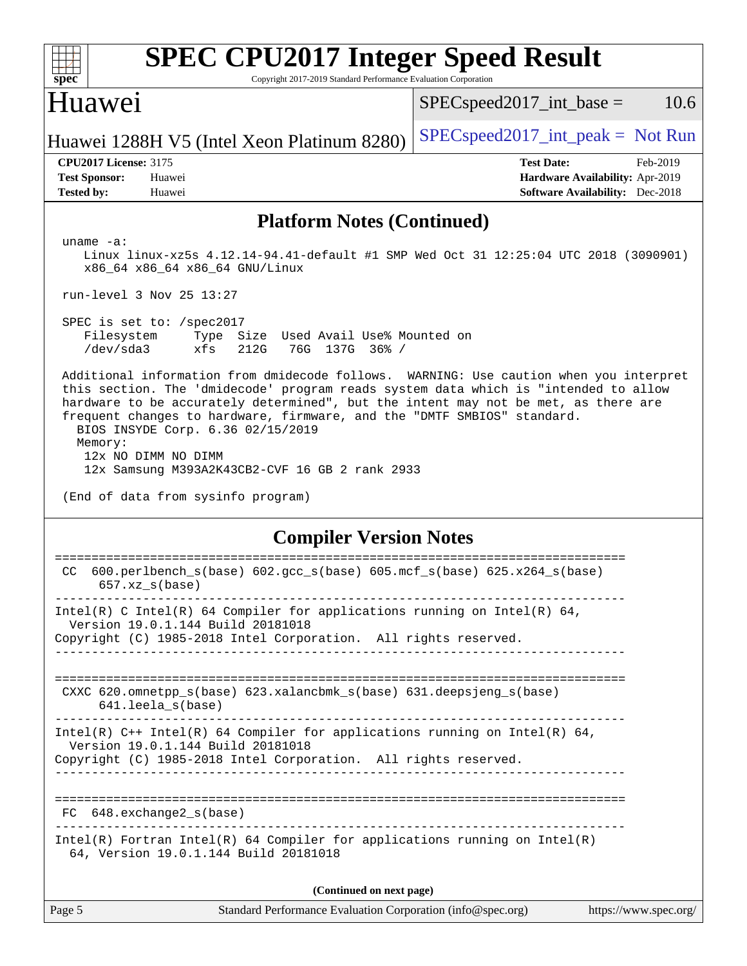| s | I | ne | Ľ |  |
|---|---|----|---|--|

# **[SPEC CPU2017 Integer Speed Result](http://www.spec.org/auto/cpu2017/Docs/result-fields.html#SPECCPU2017IntegerSpeedResult)**

Copyright 2017-2019 Standard Performance Evaluation Corporation

### Huawei

 $SPEC speed2017\_int\_base = 10.6$ 

Huawei 1288H V5 (Intel Xeon Platinum 8280) [SPECspeed2017\\_int\\_peak =](http://www.spec.org/auto/cpu2017/Docs/result-fields.html#SPECspeed2017intpeak) Not Run

**[CPU2017 License:](http://www.spec.org/auto/cpu2017/Docs/result-fields.html#CPU2017License)** 3175 **[Test Date:](http://www.spec.org/auto/cpu2017/Docs/result-fields.html#TestDate)** Feb-2019 **[Test Sponsor:](http://www.spec.org/auto/cpu2017/Docs/result-fields.html#TestSponsor)** Huawei **[Hardware Availability:](http://www.spec.org/auto/cpu2017/Docs/result-fields.html#HardwareAvailability)** Apr-2019 **[Tested by:](http://www.spec.org/auto/cpu2017/Docs/result-fields.html#Testedby)** Huawei **[Software Availability:](http://www.spec.org/auto/cpu2017/Docs/result-fields.html#SoftwareAvailability)** Dec-2018

#### **[Platform Notes \(Continued\)](http://www.spec.org/auto/cpu2017/Docs/result-fields.html#PlatformNotes)**

uname -a:

 Linux linux-xz5s 4.12.14-94.41-default #1 SMP Wed Oct 31 12:25:04 UTC 2018 (3090901) x86\_64 x86\_64 x86\_64 GNU/Linux

run-level 3 Nov 25 13:27

 SPEC is set to: /spec2017 Filesystem Type Size Used Avail Use% Mounted on /dev/sda3 xfs 212G 76G 137G 36% /

 Additional information from dmidecode follows. WARNING: Use caution when you interpret this section. The 'dmidecode' program reads system data which is "intended to allow hardware to be accurately determined", but the intent may not be met, as there are frequent changes to hardware, firmware, and the "DMTF SMBIOS" standard. BIOS INSYDE Corp. 6.36 02/15/2019 Memory: 12x NO DIMM NO DIMM

12x Samsung M393A2K43CB2-CVF 16 GB 2 rank 2933

(End of data from sysinfo program)

#### **[Compiler Version Notes](http://www.spec.org/auto/cpu2017/Docs/result-fields.html#CompilerVersionNotes)**

| 600.perlbench $s(base)$ 602.qcc $s(base)$ 605.mcf $s(base)$ 625.x264 $s(base)$<br>CC.<br>$657.xz$ s(base)                                                                          |
|------------------------------------------------------------------------------------------------------------------------------------------------------------------------------------|
| Intel(R) C Intel(R) 64 Compiler for applications running on Intel(R) 64,<br>Version 19.0.1.144 Build 20181018<br>Copyright (C) 1985-2018 Intel Corporation. All rights reserved.   |
| CXXC 620.omnetpp_s(base) 623.xalancbmk_s(base) 631.deepsjeng_s(base)<br>641.leela s(base)                                                                                          |
| Intel(R) C++ Intel(R) 64 Compiler for applications running on Intel(R) 64,<br>Version 19.0.1.144 Build 20181018<br>Copyright (C) 1985-2018 Intel Corporation. All rights reserved. |
| 648.exchange2_s(base)<br>FC                                                                                                                                                        |
| $Intel(R)$ Fortran Intel(R) 64 Compiler for applications running on Intel(R)<br>64, Version 19.0.1.144 Build 20181018                                                              |
| (Continued on next page)                                                                                                                                                           |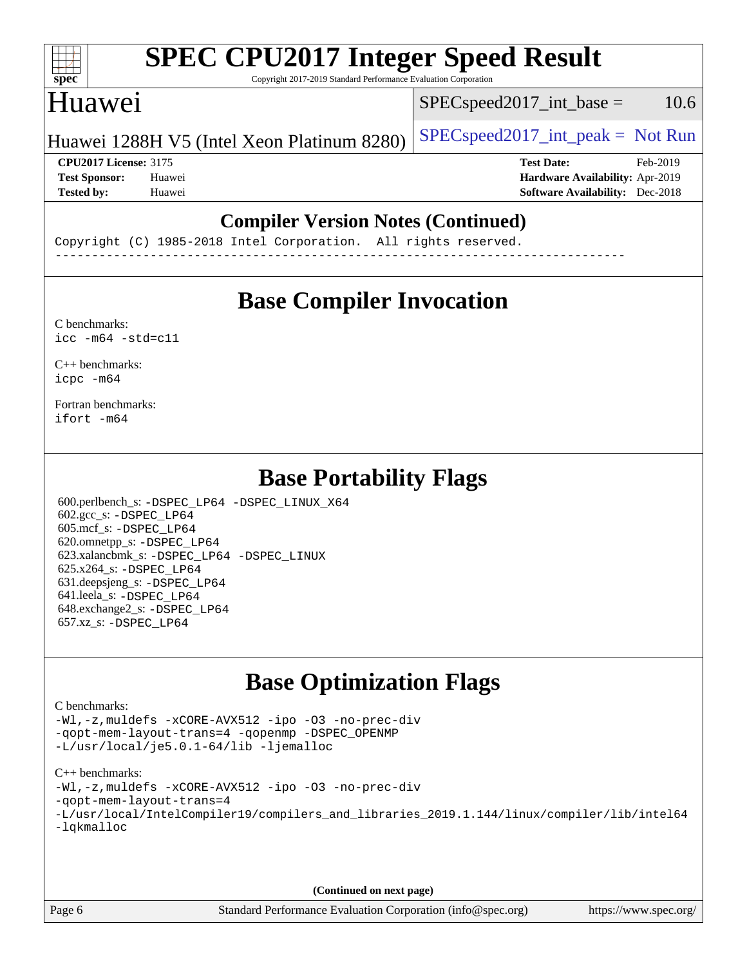#### $\pm\pm\prime$ **[spec](http://www.spec.org/)**

# **[SPEC CPU2017 Integer Speed Result](http://www.spec.org/auto/cpu2017/Docs/result-fields.html#SPECCPU2017IntegerSpeedResult)**

Copyright 2017-2019 Standard Performance Evaluation Corporation

## Huawei

 $SPEC speed2017\_int\_base = 10.6$ 

### Huawei 1288H V5 (Intel Xeon Platinum 8280)  $\left| \frac{\text{SPEC speed2017\_int\_peak}}{\text{SPEC speed2017\_int\_peak}} \right|$

**[CPU2017 License:](http://www.spec.org/auto/cpu2017/Docs/result-fields.html#CPU2017License)** 3175 **[Test Date:](http://www.spec.org/auto/cpu2017/Docs/result-fields.html#TestDate)** Feb-2019 **[Test Sponsor:](http://www.spec.org/auto/cpu2017/Docs/result-fields.html#TestSponsor)** Huawei **[Hardware Availability:](http://www.spec.org/auto/cpu2017/Docs/result-fields.html#HardwareAvailability)** Apr-2019 **[Tested by:](http://www.spec.org/auto/cpu2017/Docs/result-fields.html#Testedby)** Huawei **[Software Availability:](http://www.spec.org/auto/cpu2017/Docs/result-fields.html#SoftwareAvailability)** Dec-2018

### **[Compiler Version Notes \(Continued\)](http://www.spec.org/auto/cpu2017/Docs/result-fields.html#CompilerVersionNotes)**

Copyright (C) 1985-2018 Intel Corporation. All rights reserved. ------------------------------------------------------------------------------

### **[Base Compiler Invocation](http://www.spec.org/auto/cpu2017/Docs/result-fields.html#BaseCompilerInvocation)**

[C benchmarks](http://www.spec.org/auto/cpu2017/Docs/result-fields.html#Cbenchmarks):  $\text{icc}$  -m64 -std=c11

[C++ benchmarks:](http://www.spec.org/auto/cpu2017/Docs/result-fields.html#CXXbenchmarks) [icpc -m64](http://www.spec.org/cpu2017/results/res2019q2/cpu2017-20190318-11220.flags.html#user_CXXbase_intel_icpc_64bit_4ecb2543ae3f1412ef961e0650ca070fec7b7afdcd6ed48761b84423119d1bf6bdf5cad15b44d48e7256388bc77273b966e5eb805aefd121eb22e9299b2ec9d9)

[Fortran benchmarks](http://www.spec.org/auto/cpu2017/Docs/result-fields.html#Fortranbenchmarks): [ifort -m64](http://www.spec.org/cpu2017/results/res2019q2/cpu2017-20190318-11220.flags.html#user_FCbase_intel_ifort_64bit_24f2bb282fbaeffd6157abe4f878425411749daecae9a33200eee2bee2fe76f3b89351d69a8130dd5949958ce389cf37ff59a95e7a40d588e8d3a57e0c3fd751)

### **[Base Portability Flags](http://www.spec.org/auto/cpu2017/Docs/result-fields.html#BasePortabilityFlags)**

 600.perlbench\_s: [-DSPEC\\_LP64](http://www.spec.org/cpu2017/results/res2019q2/cpu2017-20190318-11220.flags.html#b600.perlbench_s_basePORTABILITY_DSPEC_LP64) [-DSPEC\\_LINUX\\_X64](http://www.spec.org/cpu2017/results/res2019q2/cpu2017-20190318-11220.flags.html#b600.perlbench_s_baseCPORTABILITY_DSPEC_LINUX_X64) 602.gcc\_s: [-DSPEC\\_LP64](http://www.spec.org/cpu2017/results/res2019q2/cpu2017-20190318-11220.flags.html#suite_basePORTABILITY602_gcc_s_DSPEC_LP64) 605.mcf\_s: [-DSPEC\\_LP64](http://www.spec.org/cpu2017/results/res2019q2/cpu2017-20190318-11220.flags.html#suite_basePORTABILITY605_mcf_s_DSPEC_LP64) 620.omnetpp\_s: [-DSPEC\\_LP64](http://www.spec.org/cpu2017/results/res2019q2/cpu2017-20190318-11220.flags.html#suite_basePORTABILITY620_omnetpp_s_DSPEC_LP64) 623.xalancbmk\_s: [-DSPEC\\_LP64](http://www.spec.org/cpu2017/results/res2019q2/cpu2017-20190318-11220.flags.html#suite_basePORTABILITY623_xalancbmk_s_DSPEC_LP64) [-DSPEC\\_LINUX](http://www.spec.org/cpu2017/results/res2019q2/cpu2017-20190318-11220.flags.html#b623.xalancbmk_s_baseCXXPORTABILITY_DSPEC_LINUX) 625.x264\_s: [-DSPEC\\_LP64](http://www.spec.org/cpu2017/results/res2019q2/cpu2017-20190318-11220.flags.html#suite_basePORTABILITY625_x264_s_DSPEC_LP64) 631.deepsjeng\_s: [-DSPEC\\_LP64](http://www.spec.org/cpu2017/results/res2019q2/cpu2017-20190318-11220.flags.html#suite_basePORTABILITY631_deepsjeng_s_DSPEC_LP64) 641.leela\_s: [-DSPEC\\_LP64](http://www.spec.org/cpu2017/results/res2019q2/cpu2017-20190318-11220.flags.html#suite_basePORTABILITY641_leela_s_DSPEC_LP64) 648.exchange2\_s: [-DSPEC\\_LP64](http://www.spec.org/cpu2017/results/res2019q2/cpu2017-20190318-11220.flags.html#suite_basePORTABILITY648_exchange2_s_DSPEC_LP64) 657.xz\_s: [-DSPEC\\_LP64](http://www.spec.org/cpu2017/results/res2019q2/cpu2017-20190318-11220.flags.html#suite_basePORTABILITY657_xz_s_DSPEC_LP64)

### **[Base Optimization Flags](http://www.spec.org/auto/cpu2017/Docs/result-fields.html#BaseOptimizationFlags)**

#### [C benchmarks](http://www.spec.org/auto/cpu2017/Docs/result-fields.html#Cbenchmarks):

[-Wl,-z,muldefs](http://www.spec.org/cpu2017/results/res2019q2/cpu2017-20190318-11220.flags.html#user_CCbase_link_force_multiple1_b4cbdb97b34bdee9ceefcfe54f4c8ea74255f0b02a4b23e853cdb0e18eb4525ac79b5a88067c842dd0ee6996c24547a27a4b99331201badda8798ef8a743f577) [-xCORE-AVX512](http://www.spec.org/cpu2017/results/res2019q2/cpu2017-20190318-11220.flags.html#user_CCbase_f-xCORE-AVX512) [-ipo](http://www.spec.org/cpu2017/results/res2019q2/cpu2017-20190318-11220.flags.html#user_CCbase_f-ipo) [-O3](http://www.spec.org/cpu2017/results/res2019q2/cpu2017-20190318-11220.flags.html#user_CCbase_f-O3) [-no-prec-div](http://www.spec.org/cpu2017/results/res2019q2/cpu2017-20190318-11220.flags.html#user_CCbase_f-no-prec-div) [-qopt-mem-layout-trans=4](http://www.spec.org/cpu2017/results/res2019q2/cpu2017-20190318-11220.flags.html#user_CCbase_f-qopt-mem-layout-trans_fa39e755916c150a61361b7846f310bcdf6f04e385ef281cadf3647acec3f0ae266d1a1d22d972a7087a248fd4e6ca390a3634700869573d231a252c784941a8) [-qopenmp](http://www.spec.org/cpu2017/results/res2019q2/cpu2017-20190318-11220.flags.html#user_CCbase_qopenmp_16be0c44f24f464004c6784a7acb94aca937f053568ce72f94b139a11c7c168634a55f6653758ddd83bcf7b8463e8028bb0b48b77bcddc6b78d5d95bb1df2967) [-DSPEC\\_OPENMP](http://www.spec.org/cpu2017/results/res2019q2/cpu2017-20190318-11220.flags.html#suite_CCbase_DSPEC_OPENMP) [-L/usr/local/je5.0.1-64/lib](http://www.spec.org/cpu2017/results/res2019q2/cpu2017-20190318-11220.flags.html#user_CCbase_jemalloc_link_path64_4b10a636b7bce113509b17f3bd0d6226c5fb2346b9178c2d0232c14f04ab830f976640479e5c33dc2bcbbdad86ecfb6634cbbd4418746f06f368b512fced5394) [-ljemalloc](http://www.spec.org/cpu2017/results/res2019q2/cpu2017-20190318-11220.flags.html#user_CCbase_jemalloc_link_lib_d1249b907c500fa1c0672f44f562e3d0f79738ae9e3c4a9c376d49f265a04b9c99b167ecedbf6711b3085be911c67ff61f150a17b3472be731631ba4d0471706)

#### [C++ benchmarks:](http://www.spec.org/auto/cpu2017/Docs/result-fields.html#CXXbenchmarks)

[-Wl,-z,muldefs](http://www.spec.org/cpu2017/results/res2019q2/cpu2017-20190318-11220.flags.html#user_CXXbase_link_force_multiple1_b4cbdb97b34bdee9ceefcfe54f4c8ea74255f0b02a4b23e853cdb0e18eb4525ac79b5a88067c842dd0ee6996c24547a27a4b99331201badda8798ef8a743f577) [-xCORE-AVX512](http://www.spec.org/cpu2017/results/res2019q2/cpu2017-20190318-11220.flags.html#user_CXXbase_f-xCORE-AVX512) [-ipo](http://www.spec.org/cpu2017/results/res2019q2/cpu2017-20190318-11220.flags.html#user_CXXbase_f-ipo) [-O3](http://www.spec.org/cpu2017/results/res2019q2/cpu2017-20190318-11220.flags.html#user_CXXbase_f-O3) [-no-prec-div](http://www.spec.org/cpu2017/results/res2019q2/cpu2017-20190318-11220.flags.html#user_CXXbase_f-no-prec-div)

- [-qopt-mem-layout-trans=4](http://www.spec.org/cpu2017/results/res2019q2/cpu2017-20190318-11220.flags.html#user_CXXbase_f-qopt-mem-layout-trans_fa39e755916c150a61361b7846f310bcdf6f04e385ef281cadf3647acec3f0ae266d1a1d22d972a7087a248fd4e6ca390a3634700869573d231a252c784941a8)
- [-L/usr/local/IntelCompiler19/compilers\\_and\\_libraries\\_2019.1.144/linux/compiler/lib/intel64](http://www.spec.org/cpu2017/results/res2019q2/cpu2017-20190318-11220.flags.html#user_CXXbase_qkmalloc_link_f25da0aa8cf9bced0533715046f0c2fbfb1a7191e3e496916672e09b4c388a884c4c7e4862cb529343da2264b43416df65c99fd1ddbf5dd13ae6d3130cf47881) [-lqkmalloc](http://www.spec.org/cpu2017/results/res2019q2/cpu2017-20190318-11220.flags.html#user_CXXbase_qkmalloc_link_lib_79a818439969f771c6bc311cfd333c00fc099dad35c030f5aab9dda831713d2015205805422f83de8875488a2991c0a156aaa600e1f9138f8fc37004abc96dc5)

**(Continued on next page)**